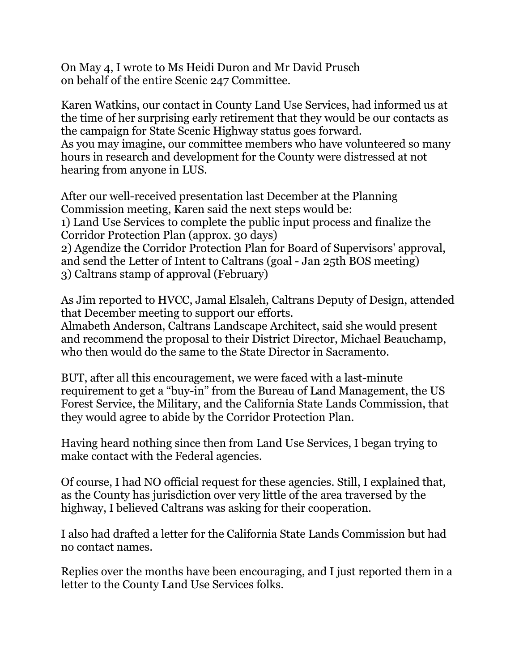On May 4, I wrote to Ms Heidi Duron and Mr David Prusch on behalf of the entire Scenic 247 Committee.

Karen Watkins, our contact in County Land Use Services, had informed us at the time of her surprising early retirement that they would be our contacts as the campaign for State Scenic Highway status goes forward. As you may imagine, our committee members who have volunteered so many hours in research and development for the County were distressed at not hearing from anyone in LUS.

After our well-received presentation last December at the Planning Commission meeting, Karen said the next steps would be: 1) Land Use Services to complete the public input process and finalize the Corridor Protection Plan (approx. 30 days) 2) Agendize the Corridor Protection Plan for Board of Supervisors' approval, and send the Letter of Intent to Caltrans (goal - Jan 25th BOS meeting) 3) Caltrans stamp of approval (February)

As Jim reported to HVCC, Jamal Elsaleh, Caltrans Deputy of Design, attended that December meeting to support our efforts.

Almabeth Anderson, Caltrans Landscape Architect, said she would present and recommend the proposal to their District Director, Michael Beauchamp, who then would do the same to the State Director in Sacramento.

BUT, after all this encouragement, we were faced with a last-minute requirement to get a "buy-in" from the Bureau of Land Management, the US Forest Service, the Military, and the California State Lands Commission, that they would agree to abide by the Corridor Protection Plan.

Having heard nothing since then from Land Use Services, I began trying to make contact with the Federal agencies.

Of course, I had NO official request for these agencies. Still, I explained that, as the County has jurisdiction over very little of the area traversed by the highway, I believed Caltrans was asking for their cooperation.

I also had drafted a letter for the California State Lands Commission but had no contact names.

Replies over the months have been encouraging, and I just reported them in a letter to the County Land Use Services folks.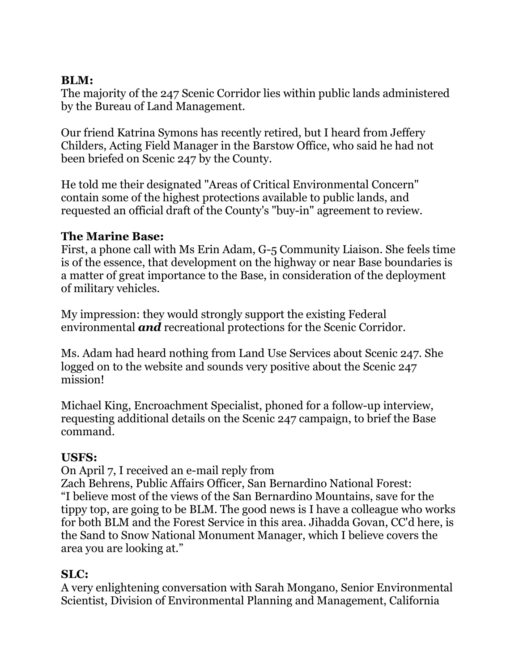## **BLM:**

The majority of the 247 Scenic Corridor lies within public lands administered by the Bureau of Land Management.

Our friend Katrina Symons has recently retired, but I heard from Jeffery Childers, Acting Field Manager in the Barstow Office, who said he had not been briefed on Scenic 247 by the County.

He told me their designated "Areas of Critical Environmental Concern" contain some of the highest protections available to public lands, and requested an official draft of the County's "buy-in" agreement to review.

## **The Marine Base:**

First, a phone call with Ms Erin Adam, G-5 Community Liaison. She feels time is of the essence, that development on the highway or near Base boundaries is a matter of great importance to the Base, in consideration of the deployment of military vehicles.

My impression: they would strongly support the existing Federal environmental *and* recreational protections for the Scenic Corridor.

Ms. Adam had heard nothing from Land Use Services about Scenic 247. She logged on to the website and sounds very positive about the Scenic 247 mission!

Michael King, Encroachment Specialist, phoned for a follow-up interview, requesting additional details on the Scenic 247 campaign, to brief the Base command.

## **USFS:**

On April 7, I received an e-mail reply from

Zach Behrens, Public Affairs Officer, San Bernardino National Forest: "I believe most of the views of the San Bernardino Mountains, save for the tippy top, are going to be BLM. The good news is I have a colleague who works for both BLM and the Forest Service in this area. Jihadda Govan, CC'd here, is the Sand to Snow National Monument Manager, which I believe covers the area you are looking at."

## **SLC:**

A very enlightening conversation with Sarah Mongano, Senior Environmental Scientist, Division of Environmental Planning and Management, California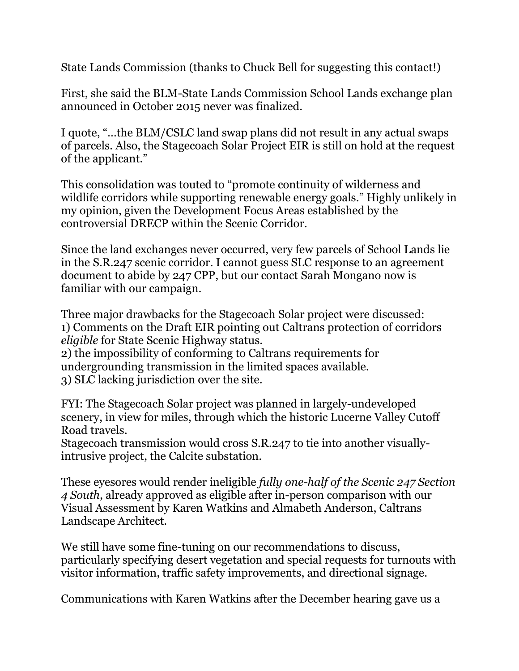State Lands Commission (thanks to Chuck Bell for suggesting this contact!)

First, she said the BLM-State Lands Commission School Lands exchange plan announced in October 2015 never was finalized.

I quote, "…the BLM/CSLC land swap plans did not result in any actual swaps of parcels. Also, the Stagecoach Solar Project EIR is still on hold at the request of the applicant."

This consolidation was touted to "promote continuity of wilderness and wildlife corridors while supporting renewable energy goals." Highly unlikely in my opinion, given the Development Focus Areas established by the controversial DRECP within the Scenic Corridor.

Since the land exchanges never occurred, very few parcels of School Lands lie in the S.R.247 scenic corridor. I cannot guess SLC response to an agreement document to abide by 247 CPP, but our contact Sarah Mongano now is familiar with our campaign.

Three major drawbacks for the Stagecoach Solar project were discussed: 1) Comments on the Draft EIR pointing out Caltrans protection of corridors *eligible* for State Scenic Highway status. 2) the impossibility of conforming to Caltrans requirements for undergrounding transmission in the limited spaces available.

3) SLC lacking jurisdiction over the site.

FYI: The Stagecoach Solar project was planned in largely-undeveloped scenery, in view for miles, through which the historic Lucerne Valley Cutoff Road travels.

Stagecoach transmission would cross S.R.247 to tie into another visuallyintrusive project, the Calcite substation.

These eyesores would render ineligible *fully one-half of the Scenic 247 Section 4 South*, already approved as eligible after in-person comparison with our Visual Assessment by Karen Watkins and Almabeth Anderson, Caltrans Landscape Architect.

We still have some fine-tuning on our recommendations to discuss, particularly specifying desert vegetation and special requests for turnouts with visitor information, traffic safety improvements, and directional signage.

Communications with Karen Watkins after the December hearing gave us a